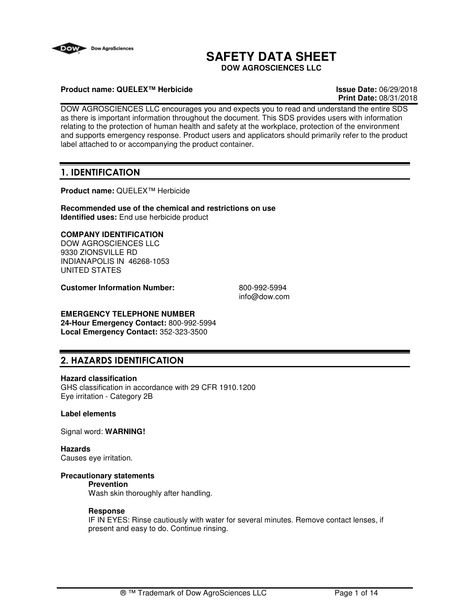

# **SAFETY DATA SHEET**

**DOW AGROSCIENCES LLC**

## **Product name: QUELEX™ Herbicide Issue Date:** 06/29/2018

**Print Date:** 08/31/2018

DOW AGROSCIENCES LLC encourages you and expects you to read and understand the entire SDS as there is important information throughout the document. This SDS provides users with information relating to the protection of human health and safety at the workplace, protection of the environment and supports emergency response. Product users and applicators should primarily refer to the product label attached to or accompanying the product container.

## **1. IDENTIFICATION**

**Product name:** QUELEX™ Herbicide

**Recommended use of the chemical and restrictions on use Identified uses:** End use herbicide product

## **COMPANY IDENTIFICATION**

DOW AGROSCIENCES LLC 9330 ZIONSVILLE RD INDIANAPOLIS IN 46268-1053 UNITED STATES

**Customer Information Number:** 800-992-5994

info@dow.com

## **EMERGENCY TELEPHONE NUMBER**

**24-Hour Emergency Contact:** 800-992-5994 **Local Emergency Contact:** 352-323-3500

## **2. HAZARDS IDENTIFICATION**

#### **Hazard classification**

GHS classification in accordance with 29 CFR 1910.1200 Eye irritation - Category 2B

#### **Label elements**

Signal word: **WARNING!**

**Hazards** Causes eye irritation.

### **Precautionary statements**

#### **Prevention**

Wash skin thoroughly after handling.

#### **Response**

IF IN EYES: Rinse cautiously with water for several minutes. Remove contact lenses, if present and easy to do. Continue rinsing.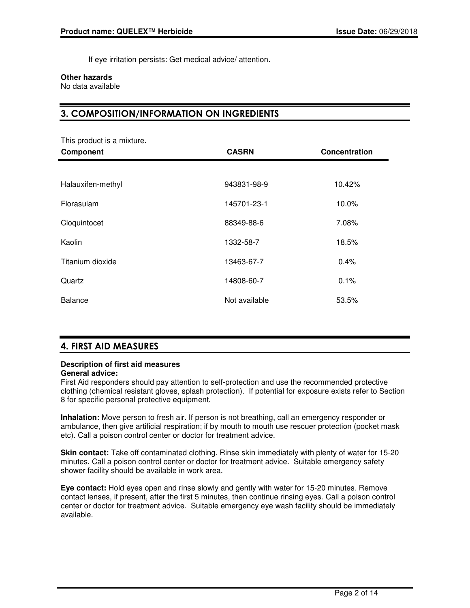If eye irritation persists: Get medical advice/ attention.

## **Other hazards**

No data available

## **3. COMPOSITION/INFORMATION ON INGREDIENTS**

| This product is a mixture.<br>Component | <b>CASRN</b>  | Concentration |
|-----------------------------------------|---------------|---------------|
|                                         |               |               |
| Halauxifen-methyl                       | 943831-98-9   | 10.42%        |
| Florasulam                              | 145701-23-1   | 10.0%         |
| Cloquintocet                            | 88349-88-6    | 7.08%         |
| Kaolin                                  | 1332-58-7     | 18.5%         |
| Titanium dioxide                        | 13463-67-7    | 0.4%          |
| Quartz                                  | 14808-60-7    | 0.1%          |
| <b>Balance</b>                          | Not available | 53.5%         |

## **4. FIRST AID MEASURES**

#### **Description of first aid measures General advice:**

8 for specific personal protective equipment.

First Aid responders should pay attention to self-protection and use the recommended protective clothing (chemical resistant gloves, splash protection). If potential for exposure exists refer to Section

**Inhalation:** Move person to fresh air. If person is not breathing, call an emergency responder or ambulance, then give artificial respiration; if by mouth to mouth use rescuer protection (pocket mask etc). Call a poison control center or doctor for treatment advice.

**Skin contact:** Take off contaminated clothing. Rinse skin immediately with plenty of water for 15-20 minutes. Call a poison control center or doctor for treatment advice. Suitable emergency safety shower facility should be available in work area.

**Eye contact:** Hold eyes open and rinse slowly and gently with water for 15-20 minutes. Remove contact lenses, if present, after the first 5 minutes, then continue rinsing eyes. Call a poison control center or doctor for treatment advice. Suitable emergency eye wash facility should be immediately available.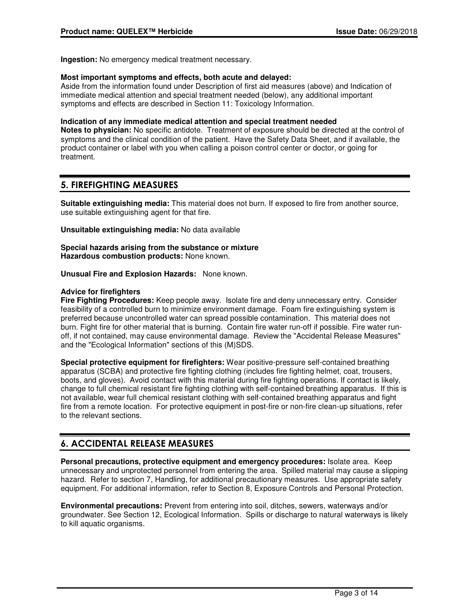**Ingestion:** No emergency medical treatment necessary.

#### **Most important symptoms and effects, both acute and delayed:**

Aside from the information found under Description of first aid measures (above) and Indication of immediate medical attention and special treatment needed (below), any additional important symptoms and effects are described in Section 11: Toxicology Information.

#### **Indication of any immediate medical attention and special treatment needed**

**Notes to physician:** No specific antidote. Treatment of exposure should be directed at the control of symptoms and the clinical condition of the patient. Have the Safety Data Sheet, and if available, the product container or label with you when calling a poison control center or doctor, or going for treatment.

## **5. FIREFIGHTING MEASURES**

**Suitable extinguishing media:** This material does not burn. If exposed to fire from another source, use suitable extinguishing agent for that fire.

**Unsuitable extinguishing media:** No data available

#### **Special hazards arising from the substance or mixture Hazardous combustion products:** None known.

**Unusual Fire and Explosion Hazards:** None known.

## **Advice for firefighters**

**Fire Fighting Procedures:** Keep people away. Isolate fire and deny unnecessary entry. Consider feasibility of a controlled burn to minimize environment damage. Foam fire extinguishing system is preferred because uncontrolled water can spread possible contamination. This material does not burn. Fight fire for other material that is burning. Contain fire water run-off if possible. Fire water runoff, if not contained, may cause environmental damage. Review the "Accidental Release Measures" and the "Ecological Information" sections of this (M)SDS.

**Special protective equipment for firefighters:** Wear positive-pressure self-contained breathing apparatus (SCBA) and protective fire fighting clothing (includes fire fighting helmet, coat, trousers, boots, and gloves). Avoid contact with this material during fire fighting operations. If contact is likely, change to full chemical resistant fire fighting clothing with self-contained breathing apparatus. If this is not available, wear full chemical resistant clothing with self-contained breathing apparatus and fight fire from a remote location. For protective equipment in post-fire or non-fire clean-up situations, refer to the relevant sections.

## **6. ACCIDENTAL RELEASE MEASURES**

**Personal precautions, protective equipment and emergency procedures:** Isolate area. Keep unnecessary and unprotected personnel from entering the area. Spilled material may cause a slipping hazard. Refer to section 7, Handling, for additional precautionary measures. Use appropriate safety equipment. For additional information, refer to Section 8, Exposure Controls and Personal Protection.

**Environmental precautions:** Prevent from entering into soil, ditches, sewers, waterways and/or groundwater. See Section 12, Ecological Information. Spills or discharge to natural waterways is likely to kill aquatic organisms.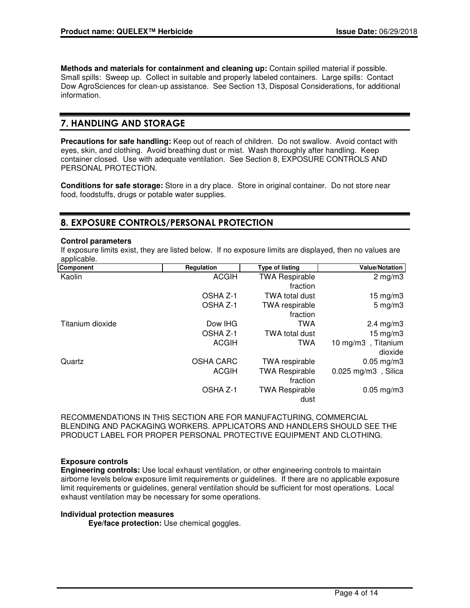**Methods and materials for containment and cleaning up:** Contain spilled material if possible. Small spills: Sweep up. Collect in suitable and properly labeled containers. Large spills: Contact Dow AgroSciences for clean-up assistance. See Section 13, Disposal Considerations, for additional information.

## **7. HANDLING AND STORAGE**

**Precautions for safe handling:** Keep out of reach of children. Do not swallow. Avoid contact with eyes, skin, and clothing. Avoid breathing dust or mist. Wash thoroughly after handling. Keep container closed. Use with adequate ventilation. See Section 8, EXPOSURE CONTROLS AND PERSONAL PROTECTION.

**Conditions for safe storage:** Store in a dry place. Store in original container. Do not store near food, foodstuffs, drugs or potable water supplies.

## **8. EXPOSURE CONTROLS/PERSONAL PROTECTION**

#### **Control parameters**

If exposure limits exist, they are listed below. If no exposure limits are displayed, then no values are applicable.

| Component        | Regulation       | <b>Type of listing</b> | <b>Value/Notation</b> |
|------------------|------------------|------------------------|-----------------------|
| Kaolin           | <b>ACGIH</b>     | <b>TWA Respirable</b>  | $2 \text{ mg/m}$ 3    |
|                  |                  | fraction               |                       |
|                  | OSHA Z-1         | <b>TWA total dust</b>  | 15 mg/m $3$           |
|                  | OSHA Z-1         | <b>TWA</b> respirable  | $5 \text{ mg/m}$ 3    |
|                  |                  | fraction               |                       |
| Titanium dioxide | Dow IHG          | TWA                    | $2.4 \text{ mg/m}$ 3  |
|                  | OSHA Z-1         | <b>TWA total dust</b>  | $15 \text{ mg/m}$     |
|                  | <b>ACGIH</b>     | TWA                    | 10 mg/m3, Titanium    |
|                  |                  |                        | dioxide               |
| Quartz           | <b>OSHA CARC</b> | TWA respirable         | $0.05$ mg/m3          |
|                  | <b>ACGIH</b>     | <b>TWA Respirable</b>  | $0.025$ mg/m3, Silica |
|                  |                  | fraction               |                       |
|                  | OSHA Z-1         | <b>TWA Respirable</b>  | $0.05$ mg/m $3$       |
|                  |                  | dust                   |                       |

RECOMMENDATIONS IN THIS SECTION ARE FOR MANUFACTURING, COMMERCIAL BLENDING AND PACKAGING WORKERS. APPLICATORS AND HANDLERS SHOULD SEE THE PRODUCT LABEL FOR PROPER PERSONAL PROTECTIVE EQUIPMENT AND CLOTHING.

## **Exposure controls**

**Engineering controls:** Use local exhaust ventilation, or other engineering controls to maintain airborne levels below exposure limit requirements or guidelines. If there are no applicable exposure limit requirements or guidelines, general ventilation should be sufficient for most operations. Local exhaust ventilation may be necessary for some operations.

#### **Individual protection measures**

**Eye/face protection:** Use chemical goggles.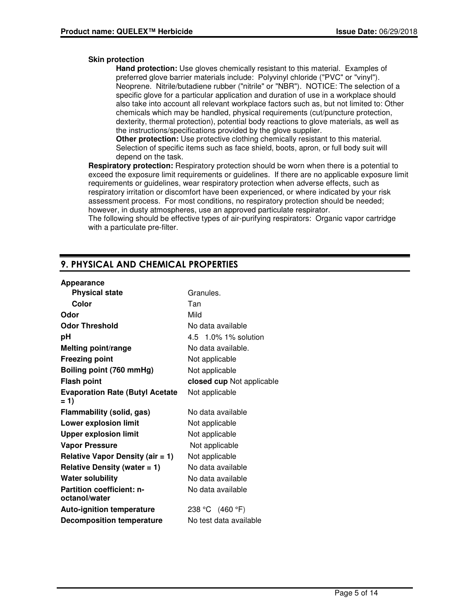## **Skin protection**

**Hand protection:** Use gloves chemically resistant to this material. Examples of preferred glove barrier materials include: Polyvinyl chloride ("PVC" or "vinyl"). Neoprene. Nitrile/butadiene rubber ("nitrile" or "NBR"). NOTICE: The selection of a specific glove for a particular application and duration of use in a workplace should also take into account all relevant workplace factors such as, but not limited to: Other chemicals which may be handled, physical requirements (cut/puncture protection, dexterity, thermal protection), potential body reactions to glove materials, as well as the instructions/specifications provided by the glove supplier.

**Other protection:** Use protective clothing chemically resistant to this material. Selection of specific items such as face shield, boots, apron, or full body suit will depend on the task.

**Respiratory protection:** Respiratory protection should be worn when there is a potential to exceed the exposure limit requirements or guidelines. If there are no applicable exposure limit requirements or guidelines, wear respiratory protection when adverse effects, such as respiratory irritation or discomfort have been experienced, or where indicated by your risk assessment process. For most conditions, no respiratory protection should be needed; however, in dusty atmospheres, use an approved particulate respirator.

The following should be effective types of air-purifying respirators: Organic vapor cartridge with a particulate pre-filter.

## **9. PHYSICAL AND CHEMICAL PROPERTIES**

#### **Appearance**

| <b>Physical state</b>                             | Granules.                 |
|---------------------------------------------------|---------------------------|
| Color                                             | Tan                       |
| Odor                                              | Mild                      |
| <b>Odor Threshold</b>                             | No data available         |
| рH                                                | 4.5 1.0% 1% solution      |
| <b>Melting point/range</b>                        | No data available.        |
| <b>Freezing point</b>                             | Not applicable            |
| Boiling point (760 mmHg)                          | Not applicable            |
| <b>Flash point</b>                                | closed cup Not applicable |
| <b>Evaporation Rate (Butyl Acetate</b><br>$= 1$   | Not applicable            |
| Flammability (solid, gas)                         | No data available         |
| <b>Lower explosion limit</b>                      | Not applicable            |
| <b>Upper explosion limit</b>                      | Not applicable            |
| <b>Vapor Pressure</b>                             | Not applicable            |
| Relative Vapor Density (air = 1)                  | Not applicable            |
| Relative Density (water $= 1$ )                   | No data available         |
| <b>Water solubility</b>                           | No data available         |
| <b>Partition coefficient: n-</b><br>octanol/water | No data available         |
| <b>Auto-ignition temperature</b>                  | 238 °C (460 °F)           |
| <b>Decomposition temperature</b>                  | No test data available    |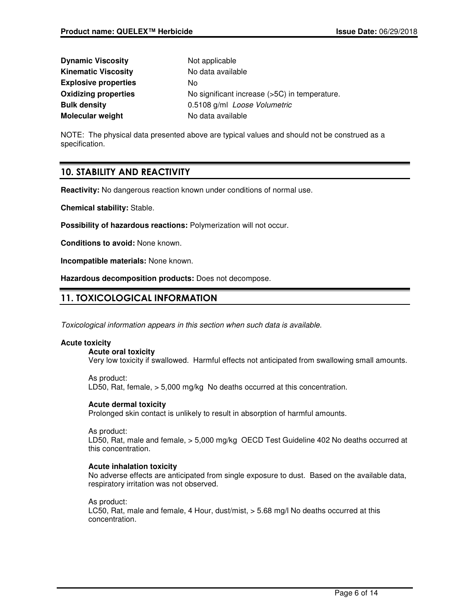| <b>Dynamic Viscosity</b>    | Not applicable                                |
|-----------------------------|-----------------------------------------------|
| <b>Kinematic Viscosity</b>  | No data available                             |
| <b>Explosive properties</b> | No.                                           |
| <b>Oxidizing properties</b> | No significant increase (>5C) in temperature. |
| <b>Bulk density</b>         | 0.5108 g/ml Loose Volumetric                  |
| <b>Molecular weight</b>     | No data available                             |

NOTE: The physical data presented above are typical values and should not be construed as a specification.

## **10. STABILITY AND REACTIVITY**

**Reactivity:** No dangerous reaction known under conditions of normal use.

**Chemical stability:** Stable.

**Possibility of hazardous reactions:** Polymerization will not occur.

**Conditions to avoid:** None known.

**Incompatible materials:** None known.

**Hazardous decomposition products:** Does not decompose.

## **11. TOXICOLOGICAL INFORMATION**

Toxicological information appears in this section when such data is available.

## **Acute toxicity**

**Acute oral toxicity**

Very low toxicity if swallowed. Harmful effects not anticipated from swallowing small amounts.

As product: LD50, Rat, female, > 5,000 mg/kg No deaths occurred at this concentration.

## **Acute dermal toxicity**

Prolonged skin contact is unlikely to result in absorption of harmful amounts.

As product:

LD50, Rat, male and female, > 5,000 mg/kg OECD Test Guideline 402 No deaths occurred at this concentration.

### **Acute inhalation toxicity**

No adverse effects are anticipated from single exposure to dust. Based on the available data, respiratory irritation was not observed.

As product:

LC50, Rat, male and female, 4 Hour, dust/mist, > 5.68 mg/l No deaths occurred at this concentration.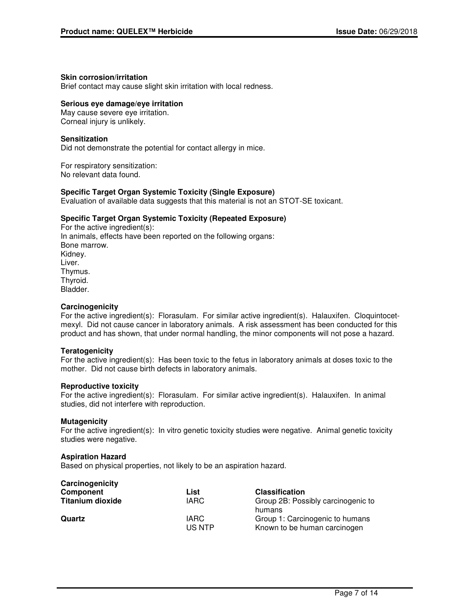## **Skin corrosion/irritation**

Brief contact may cause slight skin irritation with local redness.

## **Serious eye damage/eye irritation**

May cause severe eye irritation. Corneal injury is unlikely.

## **Sensitization**

Did not demonstrate the potential for contact allergy in mice.

For respiratory sensitization: No relevant data found.

## **Specific Target Organ Systemic Toxicity (Single Exposure)**

Evaluation of available data suggests that this material is not an STOT-SE toxicant.

## **Specific Target Organ Systemic Toxicity (Repeated Exposure)**

For the active ingredient(s): In animals, effects have been reported on the following organs: Bone marrow. Kidney. Liver. Thymus. Thyroid. Bladder.

#### **Carcinogenicity**

For the active ingredient(s): Florasulam. For similar active ingredient(s). Halauxifen. Cloquintocetmexyl. Did not cause cancer in laboratory animals. A risk assessment has been conducted for this product and has shown, that under normal handling, the minor components will not pose a hazard.

#### **Teratogenicity**

For the active ingredient(s): Has been toxic to the fetus in laboratory animals at doses toxic to the mother. Did not cause birth defects in laboratory animals.

#### **Reproductive toxicity**

For the active ingredient(s): Florasulam. For similar active ingredient(s). Halauxifen. In animal studies, did not interfere with reproduction.

#### **Mutagenicity**

For the active ingredient(s): In vitro genetic toxicity studies were negative. Animal genetic toxicity studies were negative.

#### **Aspiration Hazard**

Based on physical properties, not likely to be an aspiration hazard.

| Carcinogenicity         |                 |                                                                 |
|-------------------------|-----------------|-----------------------------------------------------------------|
| Component               | List            | <b>Classification</b>                                           |
| <b>Titanium dioxide</b> | <b>IARC</b>     | Group 2B: Possibly carcinogenic to<br>humans                    |
| Quartz                  | IARC.<br>US NTP | Group 1: Carcinogenic to humans<br>Known to be human carcinogen |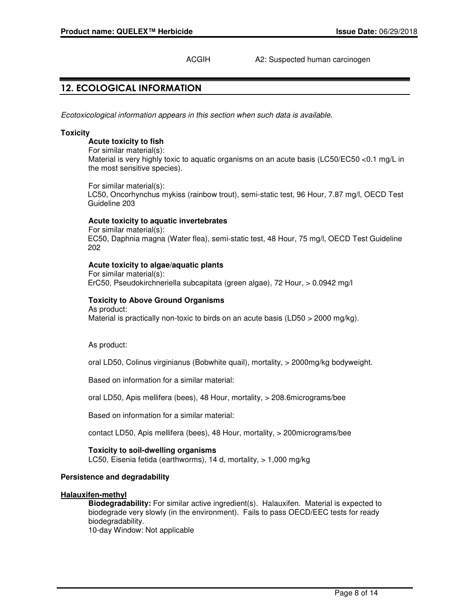## ACGIH A2: Suspected human carcinogen

## **12. ECOLOGICAL INFORMATION**

Ecotoxicological information appears in this section when such data is available.

#### **Toxicity**

#### **Acute toxicity to fish**

For similar material(s): Material is very highly toxic to aquatic organisms on an acute basis (LC50/EC50 <0.1 mg/L in the most sensitive species).

For similar material(s): LC50, Oncorhynchus mykiss (rainbow trout), semi-static test, 96 Hour, 7.87 mg/l, OECD Test Guideline 203

#### **Acute toxicity to aquatic invertebrates**

For similar material(s): EC50, Daphnia magna (Water flea), semi-static test, 48 Hour, 75 mg/l, OECD Test Guideline 202

### **Acute toxicity to algae/aquatic plants**

For similar material(s): ErC50, Pseudokirchneriella subcapitata (green algae), 72 Hour, > 0.0942 mg/l

## **Toxicity to Above Ground Organisms**

As product: Material is practically non-toxic to birds on an acute basis (LD50  $>$  2000 mg/kg).

As product:

oral LD50, Colinus virginianus (Bobwhite quail), mortality, > 2000mg/kg bodyweight.

Based on information for a similar material:

oral LD50, Apis mellifera (bees), 48 Hour, mortality, > 208.6micrograms/bee

Based on information for a similar material:

contact LD50, Apis mellifera (bees), 48 Hour, mortality, > 200micrograms/bee

#### **Toxicity to soil-dwelling organisms**

LC50, Eisenia fetida (earthworms), 14 d, mortality, > 1,000 mg/kg

#### **Persistence and degradability**

#### **Halauxifen-methyl**

**Biodegradability:** For similar active ingredient(s). Halauxifen. Material is expected to biodegrade very slowly (in the environment). Fails to pass OECD/EEC tests for ready biodegradability. 10-day Window: Not applicable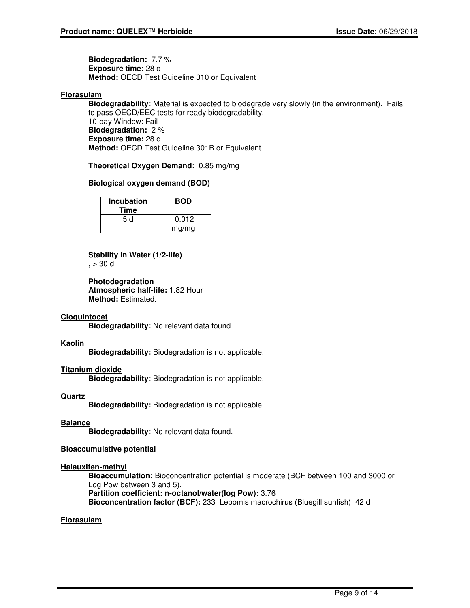**Biodegradation:** 7.7 % **Exposure time:** 28 d **Method:** OECD Test Guideline 310 or Equivalent

## **Florasulam**

**Biodegradability:** Material is expected to biodegrade very slowly (in the environment). Fails to pass OECD/EEC tests for ready biodegradability. 10-day Window: Fail **Biodegradation:** 2 % **Exposure time:** 28 d **Method:** OECD Test Guideline 301B or Equivalent

**Theoretical Oxygen Demand:** 0.85 mg/mg

## **Biological oxygen demand (BOD)**

| <b>Incubation</b><br>Time | <b>BOD</b> |
|---------------------------|------------|
| 5 d                       | 0.012      |
|                           | mg/mg      |

## **Stability in Water (1/2-life)**

 $, > 30$  d

**Photodegradation Atmospheric half-life:** 1.82 Hour **Method:** Estimated.

#### **Cloquintocet**

**Biodegradability:** No relevant data found.

#### **Kaolin**

**Biodegradability:** Biodegradation is not applicable.

## **Titanium dioxide**

**Biodegradability:** Biodegradation is not applicable.

## **Quartz**

**Biodegradability:** Biodegradation is not applicable.

#### **Balance**

**Biodegradability:** No relevant data found.

## **Bioaccumulative potential**

#### **Halauxifen-methyl**

**Bioaccumulation:** Bioconcentration potential is moderate (BCF between 100 and 3000 or Log Pow between 3 and 5). **Partition coefficient: n-octanol/water(log Pow):** 3.76

**Bioconcentration factor (BCF):** 233 Lepomis macrochirus (Bluegill sunfish) 42 d

## **Florasulam**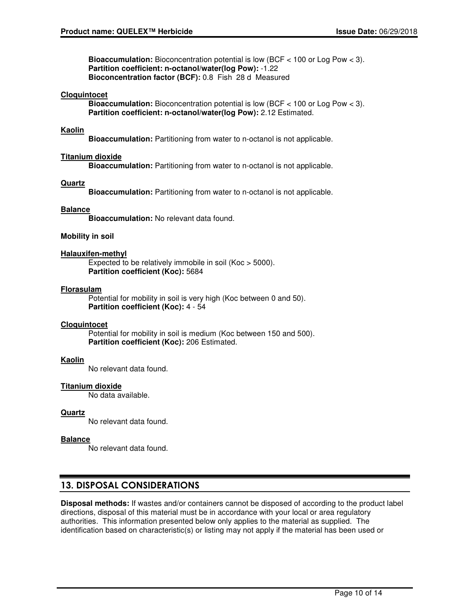**Bioaccumulation:** Bioconcentration potential is low (BCF < 100 or Log Pow < 3). **Partition coefficient: n-octanol/water(log Pow):** -1.22 **Bioconcentration factor (BCF):** 0.8 Fish 28 d Measured

#### **Cloquintocet**

**Bioaccumulation:** Bioconcentration potential is low (BCF < 100 or Log Pow < 3). **Partition coefficient: n-octanol/water(log Pow):** 2.12 Estimated.

### **Kaolin**

**Bioaccumulation:** Partitioning from water to n-octanol is not applicable.

#### **Titanium dioxide**

**Bioaccumulation:** Partitioning from water to n-octanol is not applicable.

#### **Quartz**

**Bioaccumulation:** Partitioning from water to n-octanol is not applicable.

#### **Balance**

**Bioaccumulation:** No relevant data found.

#### **Mobility in soil**

#### **Halauxifen-methyl**

Expected to be relatively immobile in soil (Koc > 5000). **Partition coefficient (Koc):** 5684

#### **Florasulam**

Potential for mobility in soil is very high (Koc between 0 and 50). **Partition coefficient (Koc):** 4 - 54

#### **Cloquintocet**

Potential for mobility in soil is medium (Koc between 150 and 500). **Partition coefficient (Koc):** 206 Estimated.

#### **Kaolin**

No relevant data found.

#### **Titanium dioxide**

No data available.

#### **Quartz**

No relevant data found.

#### **Balance**

No relevant data found.

## **13. DISPOSAL CONSIDERATIONS**

**Disposal methods:** If wastes and/or containers cannot be disposed of according to the product label directions, disposal of this material must be in accordance with your local or area regulatory authorities. This information presented below only applies to the material as supplied. The identification based on characteristic(s) or listing may not apply if the material has been used or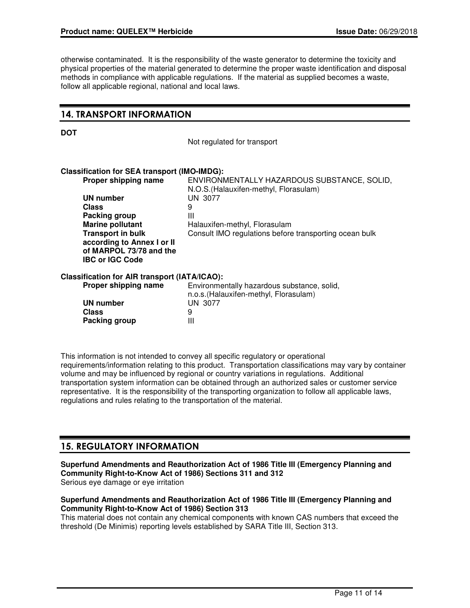otherwise contaminated. It is the responsibility of the waste generator to determine the toxicity and physical properties of the material generated to determine the proper waste identification and disposal methods in compliance with applicable regulations. If the material as supplied becomes a waste, follow all applicable regional, national and local laws.

## **14. TRANSPORT INFORMATION**

**DOT**

Not regulated for transport

## **Classification for SEA transport (IMO-IMDG):**

| Proper shipping name                          | ENVIRONMENTALLY HAZARDOUS SUBSTANCE, SOLID,<br>N.O.S. (Halauxifen-methyl, Florasulam) |
|-----------------------------------------------|---------------------------------------------------------------------------------------|
| <b>UN number</b>                              | UN 3077                                                                               |
| <b>Class</b>                                  | 9                                                                                     |
| Packing group                                 | Ш                                                                                     |
| <b>Marine pollutant</b>                       | Halauxifen-methyl, Florasulam                                                         |
| <b>Transport in bulk</b>                      | Consult IMO regulations before transporting ocean bulk                                |
| according to Annex I or II                    |                                                                                       |
| of MARPOL 73/78 and the                       |                                                                                       |
| <b>IBC or IGC Code</b>                        |                                                                                       |
| Classification for AIR transport (IATA/ICAO): |                                                                                       |
| Proper shipping name                          | Environmentally hazardous substance, solid,<br>n.o.s. (Halauxifen-methyl, Florasulam) |
| <b>UN number</b>                              | UN 3077                                                                               |
| <b>Class</b>                                  | 9                                                                                     |
| Packing group                                 | Ш                                                                                     |
|                                               |                                                                                       |

This information is not intended to convey all specific regulatory or operational requirements/information relating to this product. Transportation classifications may vary by container volume and may be influenced by regional or country variations in regulations. Additional transportation system information can be obtained through an authorized sales or customer service representative. It is the responsibility of the transporting organization to follow all applicable laws, regulations and rules relating to the transportation of the material.

## **15. REGULATORY INFORMATION**

**Superfund Amendments and Reauthorization Act of 1986 Title III (Emergency Planning and Community Right-to-Know Act of 1986) Sections 311 and 312** Serious eye damage or eye irritation

## **Superfund Amendments and Reauthorization Act of 1986 Title III (Emergency Planning and Community Right-to-Know Act of 1986) Section 313**

This material does not contain any chemical components with known CAS numbers that exceed the threshold (De Minimis) reporting levels established by SARA Title III, Section 313.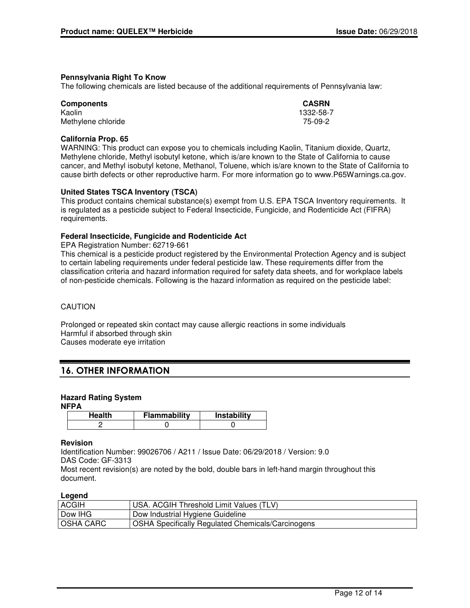## **Pennsylvania Right To Know**

The following chemicals are listed because of the additional requirements of Pennsylvania law:

| <b>Components</b>  | <b>CASRN</b> |
|--------------------|--------------|
| Kaolin             | 1332-58-7    |
| Methylene chloride | 75-09-2      |

## **California Prop. 65**

WARNING: This product can expose you to chemicals including Kaolin, Titanium dioxide, Quartz, Methylene chloride, Methyl isobutyl ketone, which is/are known to the State of California to cause cancer, and Methyl isobutyl ketone, Methanol, Toluene, which is/are known to the State of California to cause birth defects or other reproductive harm. For more information go to www.P65Warnings.ca.gov.

## **United States TSCA Inventory (TSCA)**

This product contains chemical substance(s) exempt from U.S. EPA TSCA Inventory requirements. It is regulated as a pesticide subject to Federal Insecticide, Fungicide, and Rodenticide Act (FIFRA) requirements.

## **Federal Insecticide, Fungicide and Rodenticide Act**

EPA Registration Number: 62719-661

This chemical is a pesticide product registered by the Environmental Protection Agency and is subject to certain labeling requirements under federal pesticide law. These requirements differ from the classification criteria and hazard information required for safety data sheets, and for workplace labels of non-pesticide chemicals. Following is the hazard information as required on the pesticide label:

### CAUTION

Prolonged or repeated skin contact may cause allergic reactions in some individuals Harmful if absorbed through skin Causes moderate eye irritation

## **16. OTHER INFORMATION**

## **Hazard Rating System**

#### **NFPA**

| <b>Health</b> | Flammability | Instability |
|---------------|--------------|-------------|
|               |              |             |

## **Revision**

Identification Number: 99026706 / A211 / Issue Date: 06/29/2018 / Version: 9.0 DAS Code: GF-3313 Most recent revision(s) are noted by the bold, double bars in left-hand margin throughout this document.

#### **Legend**

| <b>ACGIH</b>     | <b>USA. ACGIH Threshold Limit Values (TLV)</b>                 |
|------------------|----------------------------------------------------------------|
| Dow IHG          | Dow Industrial Hygiene Guideline                               |
| <b>OSHA CARC</b> | <sup>1</sup> OSHA Specifically Regulated Chemicals/Carcinogens |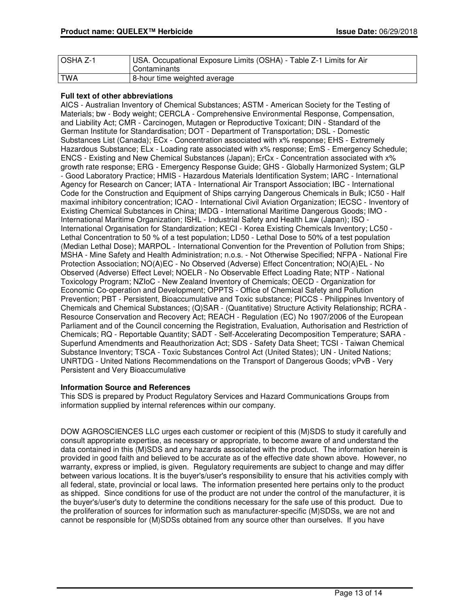| <b>OSHA Z-1</b> | USA. Occupational Exposure Limits (OSHA) - Table Z-1 Limits for Air |
|-----------------|---------------------------------------------------------------------|
|                 | Contaminants                                                        |
| <b>TWA</b>      | 8-hour time weighted average                                        |

## **Full text of other abbreviations**

AICS - Australian Inventory of Chemical Substances; ASTM - American Society for the Testing of Materials; bw - Body weight; CERCLA - Comprehensive Environmental Response, Compensation, and Liability Act; CMR - Carcinogen, Mutagen or Reproductive Toxicant; DIN - Standard of the German Institute for Standardisation; DOT - Department of Transportation; DSL - Domestic Substances List (Canada); ECx - Concentration associated with x% response; EHS - Extremely Hazardous Substance; ELx - Loading rate associated with x% response; EmS - Emergency Schedule; ENCS - Existing and New Chemical Substances (Japan); ErCx - Concentration associated with x% growth rate response; ERG - Emergency Response Guide; GHS - Globally Harmonized System; GLP - Good Laboratory Practice; HMIS - Hazardous Materials Identification System; IARC - International Agency for Research on Cancer; IATA - International Air Transport Association; IBC - International Code for the Construction and Equipment of Ships carrying Dangerous Chemicals in Bulk; IC50 - Half maximal inhibitory concentration; ICAO - International Civil Aviation Organization; IECSC - Inventory of Existing Chemical Substances in China; IMDG - International Maritime Dangerous Goods; IMO - International Maritime Organization; ISHL - Industrial Safety and Health Law (Japan); ISO - International Organisation for Standardization; KECI - Korea Existing Chemicals Inventory; LC50 - Lethal Concentration to 50 % of a test population; LD50 - Lethal Dose to 50% of a test population (Median Lethal Dose); MARPOL - International Convention for the Prevention of Pollution from Ships; MSHA - Mine Safety and Health Administration; n.o.s. - Not Otherwise Specified; NFPA - National Fire Protection Association; NO(A)EC - No Observed (Adverse) Effect Concentration; NO(A)EL - No Observed (Adverse) Effect Level; NOELR - No Observable Effect Loading Rate; NTP - National Toxicology Program; NZIoC - New Zealand Inventory of Chemicals; OECD - Organization for Economic Co-operation and Development; OPPTS - Office of Chemical Safety and Pollution Prevention; PBT - Persistent, Bioaccumulative and Toxic substance; PICCS - Philippines Inventory of Chemicals and Chemical Substances; (Q)SAR - (Quantitative) Structure Activity Relationship; RCRA - Resource Conservation and Recovery Act; REACH - Regulation (EC) No 1907/2006 of the European Parliament and of the Council concerning the Registration, Evaluation, Authorisation and Restriction of Chemicals; RQ - Reportable Quantity; SADT - Self-Accelerating Decomposition Temperature; SARA - Superfund Amendments and Reauthorization Act; SDS - Safety Data Sheet; TCSI - Taiwan Chemical Substance Inventory; TSCA - Toxic Substances Control Act (United States); UN - United Nations; UNRTDG - United Nations Recommendations on the Transport of Dangerous Goods; vPvB - Very Persistent and Very Bioaccumulative

#### **Information Source and References**

This SDS is prepared by Product Regulatory Services and Hazard Communications Groups from information supplied by internal references within our company.

DOW AGROSCIENCES LLC urges each customer or recipient of this (M)SDS to study it carefully and consult appropriate expertise, as necessary or appropriate, to become aware of and understand the data contained in this (M)SDS and any hazards associated with the product. The information herein is provided in good faith and believed to be accurate as of the effective date shown above. However, no warranty, express or implied, is given. Regulatory requirements are subject to change and may differ between various locations. It is the buyer's/user's responsibility to ensure that his activities comply with all federal, state, provincial or local laws. The information presented here pertains only to the product as shipped. Since conditions for use of the product are not under the control of the manufacturer, it is the buyer's/user's duty to determine the conditions necessary for the safe use of this product. Due to the proliferation of sources for information such as manufacturer-specific (M)SDSs, we are not and cannot be responsible for (M)SDSs obtained from any source other than ourselves. If you have